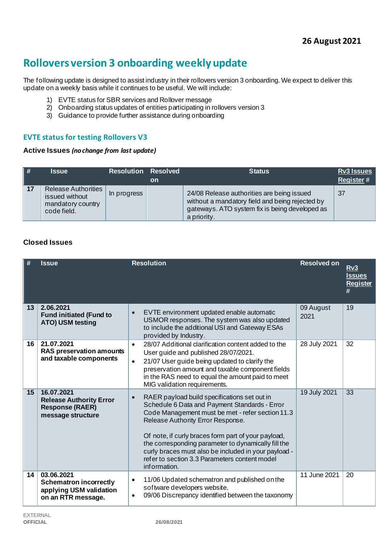# **Rollovers version 3 onboarding weekly update**

The following update is designed to assist industry in their rollovers version 3 onboarding. We expect to deliver this update on a weekly basis while it continues to be useful. We will include:

- 1) EVTE status for SBR services and Rollover message
- 2) Onboarding status updates of entities participating in rollovers version 3
- 3) Guidance to provide further assistance during onboarding

## **EVTE status for testing Rollovers V3**

#### **Active Issues** *(no change from last update)*

| $\parallel$ # | <b>Issue</b>                                                                     | <b>Resolution Resolved</b> | <b>on</b> | <b>Status</b>                                                                                                                                                  | <b>Rv3 Issues</b><br><b>Register#</b> |
|---------------|----------------------------------------------------------------------------------|----------------------------|-----------|----------------------------------------------------------------------------------------------------------------------------------------------------------------|---------------------------------------|
| 17            | <b>Release Authorities</b><br>issued without<br>mandatory country<br>code field. | In progress                |           | 24/08 Release authorities are being issued<br>without a mandatory field and being rejected by<br>gateways. ATO system fix is being developed as<br>a priority. | 37                                    |

## **Closed Issues**

|    | <b>Issue</b>                                                                                 | <b>Resolution</b>                                                                                                                                                                                                                                                                                                                                                                                                                          | <b>Resolved on</b> | Rv3<br><b>Issues</b><br><b>Register</b><br># |
|----|----------------------------------------------------------------------------------------------|--------------------------------------------------------------------------------------------------------------------------------------------------------------------------------------------------------------------------------------------------------------------------------------------------------------------------------------------------------------------------------------------------------------------------------------------|--------------------|----------------------------------------------|
| 13 | 2.06.2021<br><b>Fund initiated (Fund to</b><br>ATO) USM testing                              | EVTE environment updated enable automatic<br>$\bullet$<br>USMOR responses. The system was also updated<br>to include the additional USI and Gateway ESAs<br>provided by Industry.                                                                                                                                                                                                                                                          | 09 August<br>2021  | 19                                           |
| 16 | 21.07.2021<br><b>RAS preservation amounts</b><br>and taxable components                      | 28/07 Additional clarification content added to the<br>$\bullet$<br>User guide and published 28/07/2021.<br>21/07 User guide being updated to clarify the<br>$\bullet$<br>preservation amount and taxable component fields<br>in the RAS need to equal the amount paid to meet<br>MIG validation requirements.                                                                                                                             | 28 July 2021       | 32                                           |
| 15 | 16.07.2021<br><b>Release Authority Error</b><br><b>Response (RAER)</b><br>message structure  | RAER payload build specifications set out in<br>$\bullet$<br>Schedule 6 Data and Payment Standards - Error<br>Code Management must be met - refer section 11.3<br>Release Authority Error Response.<br>Of note, if curly braces form part of your payload,<br>the corresponding parameter to dynamically fill the<br>curly braces must also be included in your payload -<br>refer to section 3.3 Parameters content model<br>information. | 19 July 2021       | 33                                           |
| 14 | 03.06.2021<br><b>Schematron incorrectly</b><br>applying USM validation<br>on an RTR message. | 11/06 Updated schematron and published on the<br>$\bullet$<br>software developers website.<br>09/06 Discrepancy identified between the taxonomy<br>$\bullet$                                                                                                                                                                                                                                                                               | 11 June 2021       | 20                                           |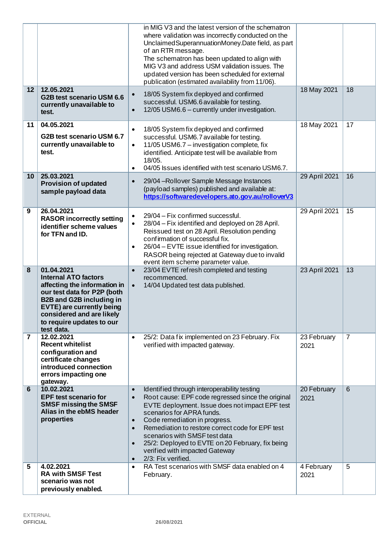|                |                                                                                                                                                                                                                                                  | in MIG V3 and the latest version of the schematron<br>where validation was incorrectly conducted on the<br>Unclaimed Superannuation Money. Date field, as part<br>of an RTR message.<br>The schematron has been updated to align with<br>MIG V3 and address USM validation issues. The<br>updated version has been scheduled for external<br>publication (estimated availability from 11/06).                                                                                                    |                     |                |
|----------------|--------------------------------------------------------------------------------------------------------------------------------------------------------------------------------------------------------------------------------------------------|--------------------------------------------------------------------------------------------------------------------------------------------------------------------------------------------------------------------------------------------------------------------------------------------------------------------------------------------------------------------------------------------------------------------------------------------------------------------------------------------------|---------------------|----------------|
| 12             | 12.05.2021<br>G2B test scenario USM 6.6<br>currently unavailable to<br>test.                                                                                                                                                                     | 18/05 System fix deployed and confirmed<br>$\bullet$<br>successful. USM6.6 available for testing.<br>12/05 USM6.6 - currently under investigation.<br>$\bullet$                                                                                                                                                                                                                                                                                                                                  | 18 May 2021         | 18             |
| 11             | 04.05.2021<br>G2B test scenario USM 6.7<br>currently unavailable to<br>test.                                                                                                                                                                     | 18/05 System fix deployed and confirmed<br>$\bullet$<br>successful. USM6.7 available for testing.<br>11/05 USM6.7 - investigation complete, fix<br>$\bullet$<br>identified. Anticipate test will be available from<br>18/05.<br>04/05 Issues identified with test scenario USM6.7.<br>$\bullet$                                                                                                                                                                                                  | 18 May 2021         | 17             |
| 10             | 25.03.2021<br><b>Provision of updated</b><br>sample payload data                                                                                                                                                                                 | 29/04 - Rollover Sample Message Instances<br>$\bullet$<br>(payload samples) published and available at:<br>https://softwaredevelopers.ato.gov.au/rolloverV3                                                                                                                                                                                                                                                                                                                                      | 29 April 2021       | 16             |
| 9              | 26.04.2021<br><b>RASOR incorrectly setting</b><br>identifier scheme values<br>for TFN and ID.                                                                                                                                                    | 29/04 - Fix confirmed successful.<br>$\bullet$<br>28/04 - Fix identified and deployed on 28 April.<br>$\bullet$<br>Reissued test on 28 April. Resolution pending<br>confirmation of successful fix.<br>26/04 - EVTE issue identified for investigation.<br>$\bullet$<br>RASOR being rejected at Gateway due to invalid<br>event item scheme parameter value.                                                                                                                                     | 29 April 2021       | 15             |
| 8              | 01.04.2021<br><b>Internal ATO factors</b><br>affecting the information in<br>our test data for P2P (both<br><b>B2B and G2B including in</b><br>EVTE) are currently being<br>considered and are likely<br>to require updates to our<br>test data. | 23/04 EVTE refresh completed and testing<br>$\bullet$<br>recommenced.<br>14/04 Updated test data published.<br>$\bullet$                                                                                                                                                                                                                                                                                                                                                                         | 23 April 2021       | 13             |
| $\overline{7}$ | 12.02.2021<br><b>Recent whitelist</b><br>configuration and<br>certificate changes<br>introduced connection<br>errors impacting one<br>gateway.                                                                                                   | 25/2: Data fix implemented on 23 February. Fix<br>$\bullet$<br>verified with impacted gateway.                                                                                                                                                                                                                                                                                                                                                                                                   | 23 February<br>2021 | $\overline{7}$ |
| 6              | 10.02.2021<br><b>EPF test scenario for</b><br><b>SMSF missing the SMSF</b><br>Alias in the ebMS header<br>properties                                                                                                                             | Identified through interoperability testing<br>$\bullet$<br>Root cause: EPF code regressed since the original<br>$\bullet$<br>EVTE deployment. Issue does not impact EPF test<br>scenarios for APRA funds.<br>Code remediation in progress.<br>$\bullet$<br>Remediation to restore correct code for EPF test<br>$\bullet$<br>scenarios with SMSF test data<br>25/2: Deployed to EVTE on 20 February, fix being<br>$\bullet$<br>verified with impacted Gateway<br>2/3: Fix verified.<br>$\bullet$ | 20 February<br>2021 | 6              |
| 5              | 4.02.2021<br><b>RA with SMSF Test</b><br>scenario was not<br>previously enabled.                                                                                                                                                                 | RA Test scenarios with SMSF data enabled on 4<br>$\bullet$<br>February.                                                                                                                                                                                                                                                                                                                                                                                                                          | 4 February<br>2021  | 5              |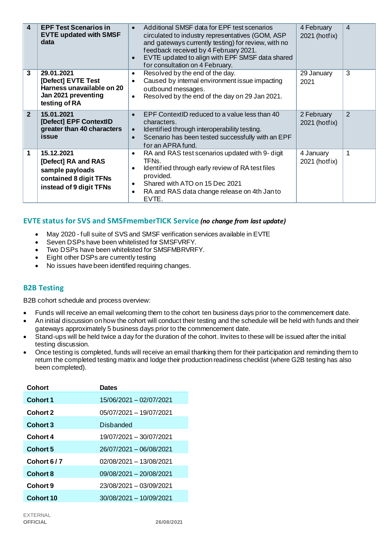| $\overline{4}$ | <b>EPF Test Scenarios in</b><br><b>EVTE updated with SMSF</b><br>data                                     | Additional SMSF data for EPF test scenarios<br>$\bullet$<br>circulated to industry representatives (GOM, ASP<br>and gateways currently testing) for review, with no<br>feedback received by 4 February 2021.<br>EVTE updated to align with EPF SMSF data shared<br>$\bullet$<br>for consultation on 4 February. | 4 February<br>2021 (hotfix) | $\overline{4}$ |
|----------------|-----------------------------------------------------------------------------------------------------------|-----------------------------------------------------------------------------------------------------------------------------------------------------------------------------------------------------------------------------------------------------------------------------------------------------------------|-----------------------------|----------------|
| 3              | 29.01.2021<br>[Defect] EVTE Test<br>Harness unavailable on 20<br>Jan 2021 preventing<br>testing of RA     | Resolved by the end of the day.<br>$\bullet$<br>Caused by internal environment issue impacting<br>$\bullet$<br>outbound messages.<br>Resolved by the end of the day on 29 Jan 2021.<br>$\bullet$                                                                                                                | 29 January<br>2021          | 3              |
| $\overline{2}$ | 15.01.2021<br>[Defect] EPF ContextID<br>greater than 40 characters<br>issue                               | EPF ContextID reduced to a value less than 40<br>$\bullet$<br>characters.<br>Identified through interoperability testing.<br>$\bullet$<br>Scenario has been tested successfully with an EPF<br>$\bullet$<br>for an APRA fund.                                                                                   | 2 February<br>2021 (hotfix) | 2              |
| 1              | 15.12.2021<br>[Defect] RA and RAS<br>sample payloads<br>contained 8 digit TFNs<br>instead of 9 digit TFNs | RA and RAS test scenarios updated with 9- digit<br>$\bullet$<br>TFN <sub>s</sub> .<br>Identified through early review of RA test files<br>$\bullet$<br>provided.<br>Shared with ATO on 15 Dec 2021<br>$\bullet$<br>RA and RAS data change release on 4th Janto<br>$\bullet$<br>EVTE.                            | 4 January<br>2021 (hotfix)  | 1              |

## **EVTE status for SVS and SMSFmemberTICK Service** *(no change from last update)*

- May 2020 full suite of SVS and SMSF verification services available in EVTE
- Seven DSPs have been whitelisted for SMSFVRFY.
- Two DSPs have been whitelisted for SMSFMBRVRFY.
- Eight other DSPs are currently testing
- No issues have been identified requiring changes.

## **B2B Testing**

B2B cohort schedule and process overview:

- Funds will receive an email welcoming them to the cohort ten business days prior to the commencement date.
- An initial discussion on how the cohort will conduct their testing and the schedule will be held with funds and their gateways approximately 5 business days prior to the commencement date.
- Stand-ups will be held twice a day for the duration of the cohort. Invites to these will be issued after the initial testing discussion.
- Once testing is completed, funds will receive an email thanking them for their participation and reminding them to return the completed testing matrix and lodge their production readiness checklist (where G2B testing has also been completed).

| <b>Dates</b>              |
|---------------------------|
| 15/06/2021 - 02/07/2021   |
| 05/07/2021 - 19/07/2021   |
| Disbanded                 |
| 19/07/2021 - 30/07/2021   |
| 26/07/2021 - 06/08/2021   |
| 02/08/2021 - 13/08/2021   |
| 09/08/2021 - 20/08/2021   |
| 23/08/2021 - 03/09/2021   |
| $30/08/2021 - 10/09/2021$ |
|                           |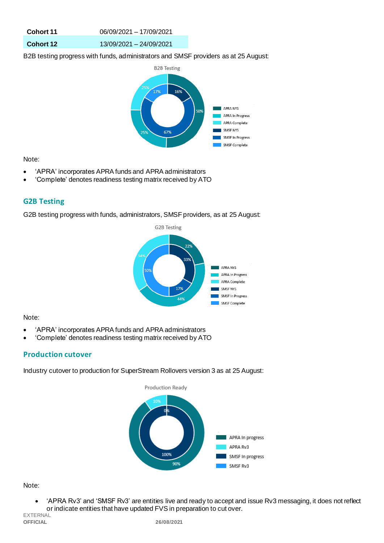| Cohort 11        | 06/09/2021 - 17/09/2021 |
|------------------|-------------------------|
| <b>Cohort 12</b> | 13/09/2021 - 24/09/2021 |

B2B testing progress with funds, administrators and SMSF providers as at 25 August:



Note:

- 'APRA' incorporates APRA funds and APRA administrators
- 'Complete' denotes readiness testing matrix received by ATO

## **G2B Testing**

G2B testing progress with funds, administrators, SMSF providers, as at 25 August:



#### Note:

- 'APRA' incorporates APRA funds and APRA administrators
- 'Complete' denotes readiness testing matrix received by ATO

## **Production cutover**

Industry cutover to production for SuperStream Rollovers version 3 as at 25 August:



#### Note:

• 'APRA Rv3' and 'SMSF Rv3' are entities live and ready to accept and issue Rv3 messaging, it does not reflect or indicate entities that have updated FVS in preparation to cut over.

EXTERNAL<br>**OFFICIAL**